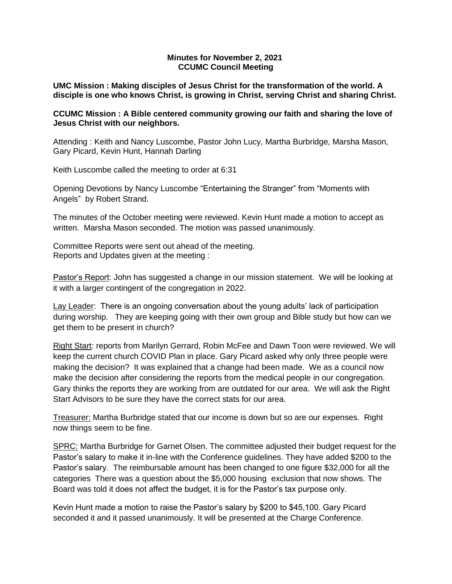# **Minutes for November 2, 2021 CCUMC Council Meeting**

**UMC Mission : Making disciples of Jesus Christ for the transformation of the world. A disciple is one who knows Christ, is growing in Christ, serving Christ and sharing Christ.**

# **CCUMC Mission : A Bible centered community growing our faith and sharing the love of Jesus Christ with our neighbors.**

Attending : Keith and Nancy Luscombe, Pastor John Lucy, Martha Burbridge, Marsha Mason, Gary Picard, Kevin Hunt, Hannah Darling

Keith Luscombe called the meeting to order at 6:31

Opening Devotions by Nancy Luscombe "Entertaining the Stranger" from "Moments with Angels" by Robert Strand.

The minutes of the October meeting were reviewed. Kevin Hunt made a motion to accept as written. Marsha Mason seconded. The motion was passed unanimously.

Committee Reports were sent out ahead of the meeting. Reports and Updates given at the meeting :

Pastor's Report: John has suggested a change in our mission statement. We will be looking at it with a larger contingent of the congregation in 2022.

Lay Leader: There is an ongoing conversation about the young adults' lack of participation during worship. They are keeping going with their own group and Bible study but how can we get them to be present in church?

Right Start: reports from Marilyn Gerrard, Robin McFee and Dawn Toon were reviewed. We will keep the current church COVID Plan in place. Gary Picard asked why only three people were making the decision? It was explained that a change had been made. We as a council now make the decision after considering the reports from the medical people in our congregation. Gary thinks the reports they are working from are outdated for our area. We will ask the Right Start Advisors to be sure they have the correct stats for our area.

Treasurer: Martha Burbridge stated that our income is down but so are our expenses. Right now things seem to be fine.

SPRC: Martha Burbridge for Garnet Olsen. The committee adjusted their budget request for the Pastor's salary to make it in-line with the Conference guidelines. They have added \$200 to the Pastor's salary. The reimbursable amount has been changed to one figure \$32,000 for all the categories There was a question about the \$5,000 housing exclusion that now shows. The Board was told it does not affect the budget, it is for the Pastor's tax purpose only.

Kevin Hunt made a motion to raise the Pastor's salary by \$200 to \$45,100. Gary Picard seconded it and it passed unanimously. It will be presented at the Charge Conference.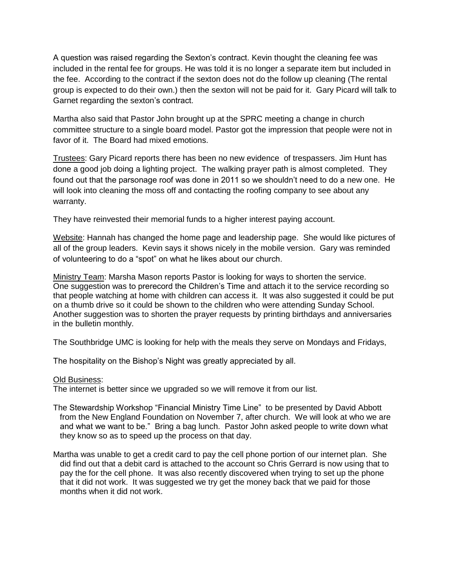A question was raised regarding the Sexton's contract. Kevin thought the cleaning fee was included in the rental fee for groups. He was told it is no longer a separate item but included in the fee. According to the contract if the sexton does not do the follow up cleaning (The rental group is expected to do their own.) then the sexton will not be paid for it. Gary Picard will talk to Garnet regarding the sexton's contract.

Martha also said that Pastor John brought up at the SPRC meeting a change in church committee structure to a single board model. Pastor got the impression that people were not in favor of it. The Board had mixed emotions.

Trustees: Gary Picard reports there has been no new evidence of trespassers. Jim Hunt has done a good job doing a lighting project. The walking prayer path is almost completed. They found out that the parsonage roof was done in 2011 so we shouldn't need to do a new one. He will look into cleaning the moss off and contacting the roofing company to see about any warranty.

They have reinvested their memorial funds to a higher interest paying account.

Website: Hannah has changed the home page and leadership page. She would like pictures of all of the group leaders. Kevin says it shows nicely in the mobile version. Gary was reminded of volunteering to do a "spot" on what he likes about our church.

Ministry Team: Marsha Mason reports Pastor is looking for ways to shorten the service. One suggestion was to prerecord the Children's Time and attach it to the service recording so that people watching at home with children can access it. It was also suggested it could be put on a thumb drive so it could be shown to the children who were attending Sunday School. Another suggestion was to shorten the prayer requests by printing birthdays and anniversaries in the bulletin monthly.

The Southbridge UMC is looking for help with the meals they serve on Mondays and Fridays,

The hospitality on the Bishop's Night was greatly appreciated by all.

### Old Business:

The internet is better since we upgraded so we will remove it from our list.

- The Stewardship Workshop "Financial Ministry Time Line" to be presented by David Abbott from the New England Foundation on November 7, after church. We will look at who we are and what we want to be." Bring a bag lunch. Pastor John asked people to write down what they know so as to speed up the process on that day.
- Martha was unable to get a credit card to pay the cell phone portion of our internet plan. She did find out that a debit card is attached to the account so Chris Gerrard is now using that to pay the for the cell phone. It was also recently discovered when trying to set up the phone that it did not work. It was suggested we try get the money back that we paid for those months when it did not work.